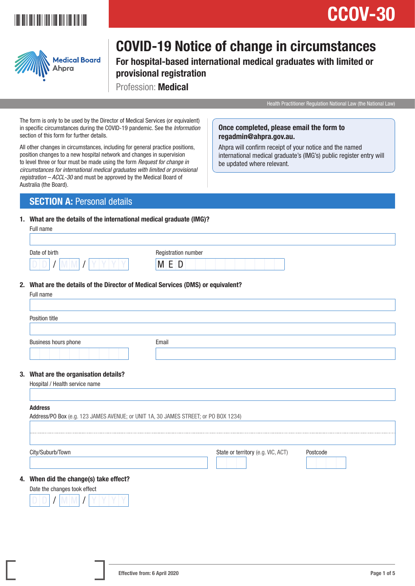



# COVID-19 Notice of change in circumstances

For hospital-based international medical graduates with limited or provisional registration

Profession: Medical

Health Practitioner Regulation National Law (the National Law)

The form is only to be used by the Director of Medical Services (or equivalent) in specific circumstances during the COVID-19 pandemic. See the *Information* section of this form for further details.

All other changes in circumstances, including for general practice positions, position changes to a new hospital network and changes in supervision to level three or four must be made using the form *Request for change in circumstances for international medical graduates with limited or provisional registration – ACCL-30* and must be approved by the Medical Board of Australia (the Board).

Once completed, please email the form to regadmin@ahpra.gov.au.

Ahpra will confirm receipt of your notice and the named international medical graduate's (IMG's) public register entry will be updated where relevant.

## **SECTION A: Personal details**

1. What are the details of the international medical graduate (IMG)?

| Full name     |                            |
|---------------|----------------------------|
|               |                            |
| Date of birth | <b>Registration number</b> |
|               | M<br>-                     |

2. What are the details of the Director of Medical Services (DMS) or equivalent?

| Full name            |       |
|----------------------|-------|
|                      |       |
| Position title       |       |
|                      |       |
| Business hours phone | Email |
|                      |       |
|                      |       |

### 3. What are the organisation details?

| Hospital / Health service name |  |  |
|--------------------------------|--|--|
|                                |  |  |

### Address

| Address/PO Box (e.g. 123 JAMES AVENUE; or UNIT 1A, 30 JAMES STREET; or PO BOX 1234) |  |
|-------------------------------------------------------------------------------------|--|
|-------------------------------------------------------------------------------------|--|

| City/Suburb/Town | State or territory (e.g. VIC, ACT) | Postcode |
|------------------|------------------------------------|----------|

### 4. When did the change(s) take effect?

Date the changes took effect

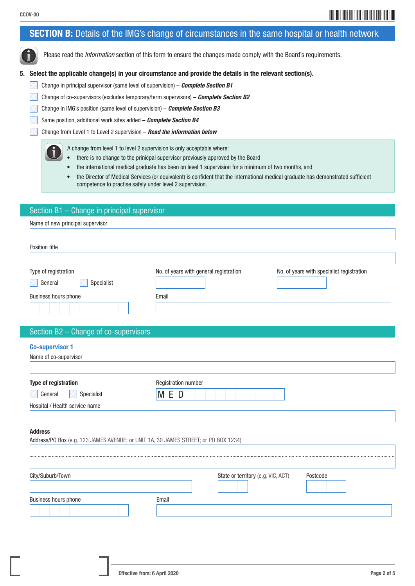\*CCOV-302\* CCOV-30

## SECTION B: Details of the IMG's change of circumstances in the same hospital or health network

Please read the *Information* section of this form to ensure the changes made comply with the Board's requirements.

5. Select the applicable change(s) in your circumstance and provide the details in the relevant section(s).

- $\overline{\times}$ Change in principal supervisor (same level of supervision) – *Complete Section B1*
- Change of co-supervisors (excludes temporary/term supervisors) – *Complete Section B2*
- Change in IMG's position (same level of supervision) – *Complete Section B3*
- Same position, additional work sites added – *Complete Section B4*
- Change from Level 1 to Level 2 supervision – *Read the information below*

A change from level 1 to level 2 supervision is only acceptable where:

- there is no change to the prinicpal supervisor previously approved by the Board
- the international medical graduate has been on level 1 supervision for a minimum of two months, and
- the Director of Medical Services (or equivalent) is confident that the international medical graduate has demonstrated sufficient competence to practise safely under level 2 supervision.

### Section B1 – Change in principal supervisor

Name of new principal supervisor

П

| Position title        |                                        |                                           |
|-----------------------|----------------------------------------|-------------------------------------------|
|                       |                                        |                                           |
| Type of registration  | No. of years with general registration | No. of years with specialist registration |
| Specialist<br>General |                                        |                                           |
| Business hours phone  | Email                                  |                                           |
|                       |                                        |                                           |

### Section B2 – Change of co-supervisors

## Co-supervisor 1

| Name of co-supervisor                                                               |                     |                                    |          |  |
|-------------------------------------------------------------------------------------|---------------------|------------------------------------|----------|--|
|                                                                                     |                     |                                    |          |  |
| <b>Type of registration</b>                                                         | Registration number |                                    |          |  |
| Specialist<br>General                                                               | MED                 |                                    |          |  |
| Hospital / Health service name                                                      |                     |                                    |          |  |
|                                                                                     |                     |                                    |          |  |
| <b>Address</b>                                                                      |                     |                                    |          |  |
| Address/PO Box (e.g. 123 JAMES AVENUE; or UNIT 1A, 30 JAMES STREET; or PO BOX 1234) |                     |                                    |          |  |
|                                                                                     |                     |                                    |          |  |
|                                                                                     |                     |                                    |          |  |
| City/Suburb/Town                                                                    |                     | State or territory (e.g. VIC, ACT) | Postcode |  |
|                                                                                     |                     |                                    |          |  |
| Business hours phone                                                                | Email               |                                    |          |  |
|                                                                                     |                     |                                    |          |  |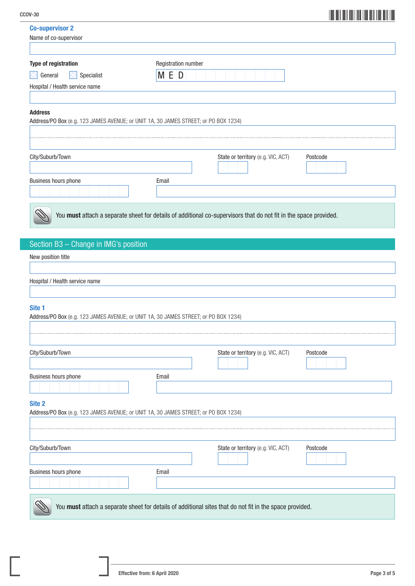| <b>CCOV-30</b>         | <b>THE REAL PROPERTY</b><br><u>i III (III III) III</u> |
|------------------------|--------------------------------------------------------|
|                        |                                                        |
| <b>Co-cuparyjear 2</b> |                                                        |

| <b>Co-supervisor 2</b>                                                                                           |                              |                                    |          |
|------------------------------------------------------------------------------------------------------------------|------------------------------|------------------------------------|----------|
| Name of co-supervisor                                                                                            |                              |                                    |          |
| <b>Type of registration</b><br>General<br>Specialist<br>Hospital / Health service name                           | Registration number<br>M E D |                                    |          |
| <b>Address</b><br>Address/PO Box (e.g. 123 JAMES AVENUE; or UNIT 1A, 30 JAMES STREET; or PO BOX 1234)            |                              |                                    |          |
| City/Suburb/Town<br>Business hours phone                                                                         | Email                        | State or territory (e.g. VIC, ACT) | Postcode |
| You must attach a separate sheet for details of additional co-supervisors that do not fit in the space provided. |                              |                                    |          |
| Section B3 - Change in IMG's position                                                                            |                              |                                    |          |
| New position title                                                                                               |                              |                                    |          |
|                                                                                                                  |                              |                                    |          |
| Hospital / Health service name                                                                                   |                              |                                    |          |
|                                                                                                                  |                              |                                    |          |
| Site 1                                                                                                           |                              |                                    |          |
| Address/PO Box (e.g. 123 JAMES AVENUE; or UNIT 1A, 30 JAMES STREET; or PO BOX 1234)                              |                              |                                    |          |
|                                                                                                                  |                              |                                    |          |
| City/Suburb/Town                                                                                                 |                              | State or territory (e.g. VIC, ACT) | Postcode |
| Business hours phone                                                                                             | Email                        |                                    |          |
|                                                                                                                  |                              |                                    |          |
| Site 2<br>Address/PO Box (e.g. 123 JAMES AVENUE; or UNIT 1A, 30 JAMES STREET; or PO BOX 1234)                    |                              |                                    |          |
|                                                                                                                  |                              |                                    |          |
| City/Suburb/Town                                                                                                 |                              | State or territory (e.g. VIC, ACT) | Postcode |
| Business hours phone                                                                                             | Email                        |                                    |          |
|                                                                                                                  |                              |                                    |          |
| You must attach a separate sheet for details of additional sites that do not fit in the space provided.          |                              |                                    |          |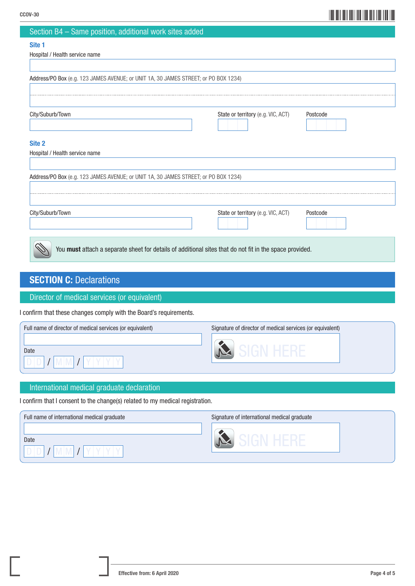## \*CCOV-304\* CCOV-30

### Section B4 – Same position, additional work sites added

### Site 1

Hospital / Health service name

| Address/PO Box (e.g. 123 JAMES AVENUE; or UNIT 1A, 30 JAMES STREET; or PO BOX 1234)                     |                                                           |          |
|---------------------------------------------------------------------------------------------------------|-----------------------------------------------------------|----------|
|                                                                                                         |                                                           |          |
| City/Suburb/Town                                                                                        | State or territory (e.g. VIC, ACT)                        | Postcode |
| Site <sub>2</sub><br>Hospital / Health service name                                                     |                                                           |          |
| Address/PO Box (e.g. 123 JAMES AVENUE; or UNIT 1A, 30 JAMES STREET; or PO BOX 1234)                     |                                                           |          |
| City/Suburb/Town                                                                                        | State or territory (e.g. VIC, ACT)                        | Postcode |
| You must attach a separate sheet for details of additional sites that do not fit in the space provided. |                                                           |          |
| <b>SECTION C: Declarations</b>                                                                          |                                                           |          |
| Director of medical services (or equivalent)                                                            |                                                           |          |
| confirm that these changes comply with the Board's requirements.                                        |                                                           |          |
| Full name of director of medical services (or equivalent)<br>Date                                       | Signature of director of medical services (or equivalent) |          |

International medical graduate declaration

I confirm that I consent to the change(s) related to my medical registration.